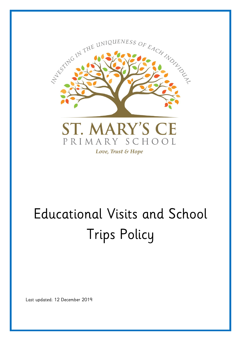

# Educational Visits and School Trips Policy

Last updated: 12 December 2019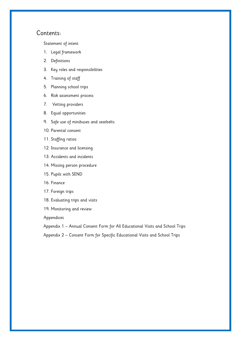# Contents:

[Statement of intent](#page-2-0)

- 1. [Legal framework](#page-3-0)
- 2. [Definitions](#page-3-1)
- 3. [Key roles and responsibilities](#page-3-2)
- 4. [Training of staff](#page-6-0)
- 5. [Planning school trips](#page-6-1)
- 6. [Risk assessment process](#page-6-2)
- 7. [Vetting providers](#page-7-0)
- 8. [Equal opportunities](#page-7-1)
- 9. [Safe use of minibuses and seatbelts](#page-8-0)
- 10. [Parental consent](#page-8-1)
- 11. [Staffing ratios](#page-8-2)
- 12. [Insurance and licensing](#page-8-3)
- 13. [Accidents and incidents](#page-8-4)
- 14. [Missing person procedure](#page-9-0)
- 15. [Pupils with SEND](#page-10-0)
- 16. [Finance](#page-10-1)
- 17. [Foreign trips](#page-11-0)
- 18. [Evaluating trips and visits](#page-12-0)
- 19. [Monitoring and review](#page-12-1)

Appendices

Appendix 1 – [Annual Consent Form for All Educational Visits and School Trips](#page-13-0)

Appendix 2 – [Consent Form for Specific Educational Visits and School Trips](#page-14-0)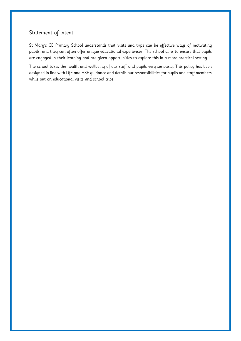# <span id="page-2-0"></span>Statement of intent

St Mary's CE Primary School understands that visits and trips can be effective ways of motivating pupils, and they can often offer unique educational experiences. The school aims to ensure that pupils are engaged in their learning and are given opportunities to explore this in a more practical setting.

The school takes the health and wellbeing of our staff and pupils very seriously. This policy has been designed in line with DfE and HSE guidance and details our responsibilities for pupils and staff members while out on educational visits and school trips.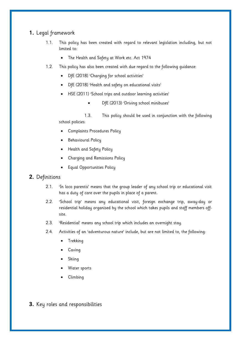# <span id="page-3-0"></span>**1.** Legal framework

- 1.1. This policy has been created with regard to relevant legislation including, but not limited to:
	- The Health and Safety at Work etc. Act 1974
- 1.2. This policy has also been created with due regard to the following guidance:
	- DfE (2018) 'Charging for school activities'
	- DfE (2018) 'Health and safety on educational visits'
	- HSE (2011) 'School trips and outdoor learning activities'
		- DfE (2013) 'Driving school minibuses'

1.3. This policy should be used in conjunction with the following school policies:

- Complaints Procedures Policy
- Behavioural Policy
- Health and Safety Policy
- Charging and Remissions Policy
- Equal Opportunities Policy

## <span id="page-3-1"></span>**2.** Definitions

- 2.1. 'In loco parentis' means that the group leader of any school trip or educational visit has a duty of care over the pupils in place of a parent.
- 2.2. 'School trip' means any educational visit, foreign exchange trip, away-day or residential holiday organised by the school which takes pupils and staff members offsite.
- 2.3. 'Residential' means any school trip which includes an overnight stay.
- 2.4. Activities of an 'adventurous nature' include, but are not limited to, the following:
	- Trekking
	- Caving
	- Skiing
	- Water sports
	- Climbing

<span id="page-3-2"></span>**3.** Key roles and responsibilities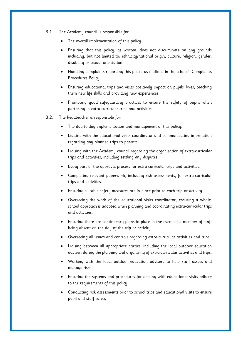- 3.1. The Academy council is responsible for:
	- The overall implementation of this policy.
	- Ensuring that this policy, as written, does not discriminate on any grounds including, but not limited to: ethnicity/national origin, culture, religion, gender, disability or sexual orientation.
	- Handling complaints regarding this policy as outlined in the school's Complaints Procedures Policy.
	- Ensuring educational trips and visits positively impact on pupils' lives, teaching them new life skills and providing new experiences.
	- Promoting good safequarding practices to ensure the safety of pupils when partaking in extra-curricular trips and activities.
- 3.2. The headteacher is responsible for:
	- The day-to-day implementation and management of this policy.
	- Liaising with the educational visits coordinator and communicating information regarding any planned trips to parents.
	- Liaising with the Academy council regarding the organisation of extra-curricular trips and activities, including settling any disputes.
	- Being part of the approval process for extra-curricular trips and activities.
	- Completing relevant paperwork, including risk assessments, for extra-curricular trips and activities.
	- Ensuring suitable safety measures are in place prior to each trip or activity.
	- Overseeing the work of the educational visits coordinator, ensuring a wholeschool approach is adopted when planning and coordinating extra-curricular trips and activities.
	- Ensuring there are contingency plans in place in the event of a member of staff being absent on the day of the trip or activity.
	- Overseeing all issues and controls regarding extra-curricular activities and trips.
	- Liaising between all appropriate parties, including the local outdoor education adviser, during the planning and organising of extra-curricular activities and trips.
	- Working with the local outdoor education advisers to help staff assess and manage risks.
	- Ensuring the systems and procedures for dealing with educational visits adhere to the requirements of this policy.
	- Conducting risk assessments prior to school trips and educational visits to ensure pupil and staff safety.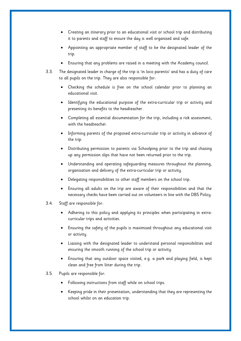- Creating an itinerary prior to an educational visit or school trip and distributing it to parents and staff to ensure the day is well organised and safe.
- Appointing an appropriate member of staff to be the designated leader of the trip.
- Ensuring that any problems are raised in a meeting with the Academy council.
- 3.3. The designated leader in charge of the trip is 'in loco parentis' and has a duty of care to all pupils on the trip. They are also responsible for:
	- Checking the schedule is free on the school calendar prior to planning an educational visit.
	- Identifying the educational purpose of the extra-curricular trip or activity and presenting its benefits to the headteacher.
	- Completing all essential documentation for the trip, including a risk assessment, with the headteacher.
	- Informing parents of the proposed extra-curricular trip or activity in advance of the trip.
	- Distributing permission to parents via Schoolping prior to the trip and chasing up any permission slips that have not been returned prior to the trip.
	- Understanding and operating safeguarding measures throughout the planning, organisation and delivery of the extra-curricular trip or activity.
	- Delegating responsibilities to other staff members on the school trip.
	- Ensuring all adults on the trip are aware of their responsibilities and that the necessary checks have been carried out on volunteers in line with the DBS Policy.
- 3.4. Staff are responsible for:
	- Adhering to this policy and applying its principles when participating in extracurricular trips and activities.
	- Ensuring the safety of the pupils is maximised throughout any educational visit or activity.
	- Liaising with the designated leader to understand personal responsibilities and ensuring the smooth running of the school trip or activity.
	- Ensuring that any outdoor space visited, e.g. a park and playing field, is kept clean and free from litter during the trip.
- 3.5. Pupils are responsible for:
	- Following instructions from staff while on school trips.
	- Keeping pride in their presentation, understanding that they are representing the school whilst on an education trip.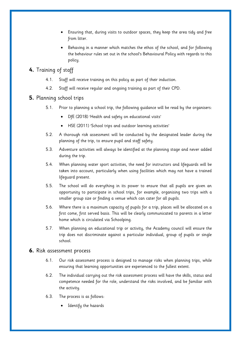- Ensuring that, during visits to outdoor spaces, they keep the area tidy and free from litter.
- Behaving in a manner which matches the ethos of the school, and for following the behaviour rules set out in the school's Behavioural Policy with regards to this policy.

# <span id="page-6-0"></span>**4.** Training of staff

- 4.1. Staff will receive training on this policy as part of their induction.
- 4.2. Staff will receive regular and ongoing training as part of their CPD.

#### <span id="page-6-1"></span>**5.** Planning school trips

- 5.1. Prior to planning a school trip, the following guidance will be read by the organisers:
	- DfE (2018) 'Health and safety on educational visits'
	- HSE (2011) 'School trips and outdoor learning activities'
- 5.2. A thorough risk assessment will be conducted by the designated leader during the planning of the trip, to ensure pupil and staff safety.
- 5.3. Adventure activities will always be identified at the planning stage and never added during the trip.
- 5.4. When planning water sport activities, the need for instructors and lifeguards will be taken into account, particularly when using facilities which may not have a trained lifeguard present.
- 5.5. The school will do everything in its power to ensure that all pupils are given an opportunity to participate in school trips, for example, organising two trips with a smaller group size or finding a venue which can cater for all pupils.
- 5.6. Where there is a maximum capacity of pupils for a trip, places will be allocated on a first come, first served basis. This will be clearly communicated to parents in a letter home which is circulated via Schoolping.
- 5.7. When planning an educational trip or activity, the Academy council will ensure the trip does not discriminate against a particular individual, group of pupils or single school.

#### <span id="page-6-2"></span>**6.** Risk assessment process

- 6.1. Our risk assessment process is designed to manage risks when planning trips, while ensuring that learning opportunities are experienced to the fullest extent.
- 6.2. The individual carrying out the risk assessment process will have the skills, status and competence needed for the role, understand the risks involved, and be familiar with the activity.
- 6.3. The process is as follows:
	- Identify the hazards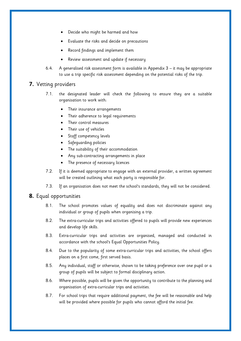- Decide who might be harmed and how
- Evaluate the risks and decide on precautions
- Record findings and implement them
- Review assessment and update if necessary
- 6.4. A generalised risk assessment form is available in Appendix 3 it may be appropriate to use a trip specific risk assessment depending on the potential risks of the trip.

#### <span id="page-7-0"></span>**7.** Vetting providers

- 7.1. the designated leader will check the following to ensure they are a suitable organisation to work with:
	- Their insurance arrangements
	- Their adherence to legal requirements
	- Their control measures
	- Their use of vehicles
	- Staff competency levels
	- Safeguarding policies
	- The suitability of their accommodation
	- Any sub-contracting arrangements in place
	- The presence of necessary licences
- 7.2. If it is deemed appropriate to engage with an external provider, a written agreement will be created outlining what each party is responsible for.
- 7.3. If an organisation does not meet the school's standards, they will not be considered.

#### <span id="page-7-1"></span>**8.** Equal opportunities

- 8.1. The school promotes values of equality and does not discriminate against any individual or group of pupils when organising a trip.
- 8.2. The extra-curricular trips and activities offered to pupils will provide new experiences and develop life skills.
- 8.3. Extra-curricular trips and activities are organised, managed and conducted in accordance with the school's Equal Opportunities Policy.
- 8.4. Due to the popularity of some extra-curricular trips and activities, the school offers places on a first come, first served basis.
- 8.5. Any individual, staff or otherwise, shown to be taking preference over one pupil or a group of pupils will be subject to formal disciplinary action.
- 8.6. Where possible, pupils will be given the opportunity to contribute to the planning and organisation of extra-curricular trips and activities.
- 8.7. For school trips that require additional payment, the fee will be reasonable and help will be provided where possible for pupils who cannot afford the initial fee.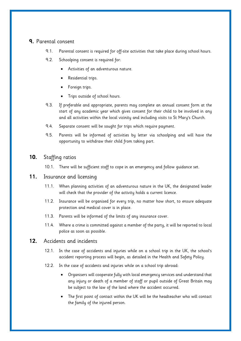# <span id="page-8-1"></span><span id="page-8-0"></span>**9.** Parental consent

- 9.1. Parental consent is required for off-site activities that take place during school hours.
- 9.2. Schoolping consent is required for:
	- Activities of an adventurous nature.
	- Residential trips.
	- Foreign trips.
	- Trips outside of school hours.
- 9.3. If preferable and appropriate, parents may complete an annual consent form at the start of any academic year which gives consent for their child to be involved in any and all activities within the local vicinity and including visits to St Mary's Church.
- 9.4. Separate consent will be sought for trips which require payment.
- 9.5. Parents will be informed of activities by letter via schoolping and will have the opportunity to withdraw their child from taking part.

# <span id="page-8-2"></span>**10.** Staffing ratios

10.1. There will be sufficient staff to cope in an emergency and follow guidance set.

## <span id="page-8-3"></span>**11.** Insurance and licensing

- 11.1. When planning activities of an adventurous nature in the UK, the designated leader will check that the provider of the activity holds a current licence.
- 11.2. Insurance will be organised for every trip, no matter how short, to ensure adequate protection and medical cover is in place.
- 11.3. Parents will be informed of the limits of any insurance cover.
- 11.4. Where a crime is committed against a member of the party, it will be reported to local police as soon as possible.

## <span id="page-8-4"></span>**12.** Accidents and incidents

- 12.1. In the case of accidents and injuries while on a school trip in the UK, the school's accident reporting process will begin, as detailed in the Health and Safety Policy.
- 12.2. In the case of accidents and injuries while on a school trip abroad:
	- Organisers will cooperate fully with local emergency services and understand that any injury or death of a member of staff or pupil outside of Great Britain may be subject to the law of the land where the accident occurred.
	- The first point of contact within the UK will be the headteacher who will contact the family of the injured person.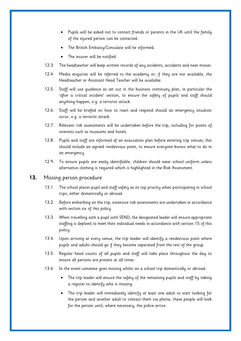- Pupils will be asked not to contact friends or parents in the UK until the family of the injured person can be contacted.
- The British Embassy/Consulate will be informed.
- The insurer will be notified.
- 12.3. The headteacher will keep written records of any incidents, accidents and near misses.
- 12.4. Media enquiries will be referred to the academy or, if they are not available, the Headteacher or Assistant Head Teacher will be available.
- 12.5. Staff will use guidance as set out in the business continuity plan, in particular the 'after a critical incident' section, to ensure the safety of pupils and staff should anything happen, e.g. a terrorist attack.
- 12.6. Staff will be briefed on how to react and respond should an emergency situation occur, e.g. a terrorist attack.
- 12.7. Relevant risk assessments will be undertaken before the trip, including for points of interests such as museums and hotels.
- 12.8. Pupils and staff are informed of an evacuation plan before entering trip venues; this should include an agreed rendezvous point, to ensure everyone knows what to do in an emergency.
- 12.9. To ensure pupils are easily identifiable, children should wear school uniform unless alternative clothing is required which is highlighted in the Risk Assessment.

#### <span id="page-9-0"></span>**13.** Missing person procedure

- 13.1. The school places pupil and staff safety as its top priority when participating in school trips, either domestically or abroad.
- 13.2. Before embarking on the trip, extensive risk assessments are undertaken in accordance with [section six](#page-6-2) of this policy.
- 13.3. When travelling with a pupil with SEND, the designated leader will ensure appropriate staffing is deploed to meet their individual needs in accordance with [section 15](#page-10-0) of this policy.
- 13.4. Upon arriving at every venue, the trip leader will identify a rendezvous point where pupils and adults should go if they become separated from the rest of the group.
- 13.5. Regular head counts of all pupils and staff will take place throughout the day to ensure all persons are present at all times.
- 13.6. In the event someone goes missing whilst on a school trip domestically or abroad:
	- The trip leader will ensure the safety of the remaining pupils and staff by taking a register to identify who is missing.
	- The trip leader will immediately identify at least one adult to start looking for the person and another adult to contact them via phone, these people will look for the person until, where necessary, the police arrive.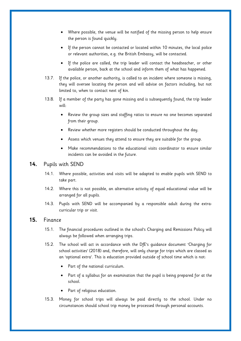- Where possible, the venue will be notified of the missing person to help ensure the person is found quickly.
- If the person cannot be contacted or located within 10 minutes, the local police or relevant authorities, e.g. the British Embassy, will be contacted.
- If the police are called, the trip leader will contact the headteacher, or other available person, back at the school and inform them of what has happened.
- 13.7. If the police, or another authority, is called to an incident where someone is missing, they will oversee locating the person and will advise on factors including, but not limited to, when to contact next of kin.
- 13.8. If a member of the party has gone missing and is subsequently found, the trip leader will:
	- Review the group sizes and staffing ratios to ensure no one becomes separated from their group.
	- Review whether more registers should be conducted throughout the day.
	- Assess which venues they attend to ensure they are suitable for the group.
	- Make recommendations to the educational visits coordinator to ensure similar incidents can be avoided in the future.

#### <span id="page-10-0"></span>**14.** Pupils with SEND

- 14.1. Where possible, activities and visits will be adapted to enable pupils with SEND to take part.
- 14.2. Where this is not possible, an alternative activity of equal educational value will be arranged for all pupils.
- 14.3. Pupils with SEND will be accompanied by a responsible adult during the extracurricular trip or visit.

#### <span id="page-10-1"></span>**15.** Finance

- 15.1. The financial procedures outlined in the school's Charging and Remissions Policy will always be followed when arranging trips.
- 15.2. The school will act in accordance with the DfE's guidance document 'Charging for school activities' (2018) and, therefore, will only charge for trips which are classed as an 'optional extra'. This is education provided outside of school time which is not:
	- Part of the national curriculum.
	- Part of a syllabus for an examination that the pupil is being prepared for at the school.
	- Part of religious education.
- 15.3. Money for school trips will always be paid directly to the school. Under no circumstances should school trip money be processed through personal accounts.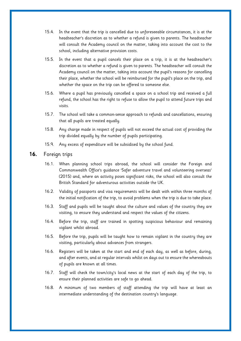- 15.4. In the event that the trip is cancelled due to unforeseeable circumstances, it is at the headteacher's discretion as to whether a refund is given to parents. The headteacher will consult the Academy council on the matter, taking into account the cost to the school, including alternative provision costs.
- 15.5. In the event that a pupil cancels their place on a trip, it is at the headteacher's discretion as to whether a refund is given to parents. The headteacher will consult the Academy council on the matter, taking into account the pupil's reasons for cancelling their place, whether the school will be reimbursed for the pupil's place on the trip, and whether the space on the trip can be offered to someone else.
- 15.6. Where a pupil has previously cancelled a space on a school trip and received a full refund, the school has the right to refuse to allow the pupil to attend future trips and visits.
- 15.7. The school will take a common-sense approach to refunds and cancellations, ensuring that all pupils are treated equally.
- 15.8. Any charge made in respect of pupils will not exceed the actual cost of providing the trip divided equally by the number of pupils participating.
- 15.9. Any excess of expenditure will be subsidised by the school fund.

#### <span id="page-11-0"></span>**16.** Foreign trips

- 16.1. When planning school trips abroad, the school will consider the Foreign and Commonwealth Office's guidance 'Safer adventure travel and volunteering overseas' (2015) and, where an activity poses significant risks, the school will also consult the British Standard for adventurous activities outside the UK.
- 16.2. Validity of passports and visa requirements will be dealt with within three months of the initial notification of the trip, to avoid problems when the trip is due to take place.
- 16.3. Staff and pupils will be taught about the culture and values of the country they are visiting, to ensure they understand and respect the values of the citizens.
- 16.4. Before the trip, staff are trained in spotting suspicious behaviour and remaining vigilant whilst abroad.
- 16.5. Before the trip, pupils will be taught how to remain vigilant in the country they are visiting, particularly about advances from strangers.
- 16.6. Registers will be taken at the start and end of each day, as well as before, during, and after events, and at regular intervals whilst on days out to ensure the whereabouts of pupils are known at all times.
- 16.7. Staff will check the town/city's local news at the start of each day of the trip, to ensure their planned activities are safe to go ahead.
- 16.8. A minimum of two members of staff attending the trip will have at least an intermediate understanding of the destination country's language.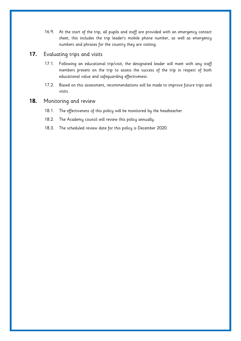16.9. At the start of the trip, all pupils and staff are provided with an emergency contact sheet, this includes the trip leader's mobile phone number, as well as emergency numbers and phrases for the country they are visiting.

### <span id="page-12-0"></span>**17.** Evaluating trips and visits

- 17.1. Following an educational trip/visit, the designated leader will meet with any staff members present on the trip to assess the success of the trip in respect of both educational value and safeguarding effectiveness.
- 17.2. Based on this assessment, recommendations will be made to improve future trips and visits.

### <span id="page-12-1"></span>**18.** Monitoring and review

- 18.1. The effectiveness of this policy will be monitored by the headteacher.
- 18.2. The Academy council will review this policy annually.
- 18.3. The scheduled review date for this policy is December 2020.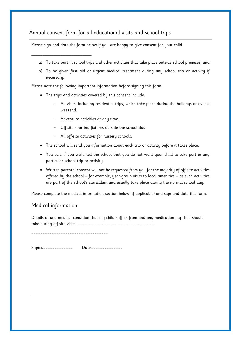# <span id="page-13-0"></span>Annual consent form for all educational visits and school trips

Please sign and date the form below if you are happy to give consent for your child,

- a) To take part in school trips and other activities that take place outside school premises; and
- b) To be given first aid or urgent medical treatment during any school trip or activity if necessary.

Please note the following important information before signing this form:

- The trips and activities covered by this consent include:
	- All visits, including residential trips, which take place during the holidays or over a weekend.
	- Adventure activities at any time.
	- Off-site sporting fixtures outside the school day.
	- All off-site activities for nursery schools.
- The school will send you information about each trip or activity before it takes place.
- You can, if you wish, tell the school that you do not want your child to take part in any particular school trip or activity.
- Written parental consent will not be requested from you for the majority of off-site activities offered by the school – for example, year-group visits to local amenities – as such activities are part of the school's curriculum and usually take place during the normal school day.

Please complete the medical information section below (if applicable) and sign and date this form.

## Medical information

\_\_\_\_\_\_\_\_\_\_\_\_\_\_\_\_\_\_\_\_\_\_\_\_\_\_\_,

Details of any medical condition that my child suffers from and any medication my child should take during off-site visits: …………………………………………………………………………………………………

Signed…………………………………… Date………………………………………

…………………………………………………………………………………………………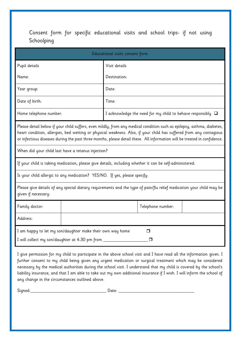<span id="page-14-0"></span>Consent form for specific educational visits and school trips- if not using Schoolping

| Educational visits consent form                                                                                                                                                                                                                                                                                                                                          |  |                                                                  |                   |  |  |
|--------------------------------------------------------------------------------------------------------------------------------------------------------------------------------------------------------------------------------------------------------------------------------------------------------------------------------------------------------------------------|--|------------------------------------------------------------------|-------------------|--|--|
| Pupil details                                                                                                                                                                                                                                                                                                                                                            |  | Visit details                                                    |                   |  |  |
| Name:                                                                                                                                                                                                                                                                                                                                                                    |  | Destination:                                                     |                   |  |  |
| Year group:                                                                                                                                                                                                                                                                                                                                                              |  | Date:                                                            |                   |  |  |
| Date of birth:                                                                                                                                                                                                                                                                                                                                                           |  | Time:                                                            |                   |  |  |
| Home telephone number:                                                                                                                                                                                                                                                                                                                                                   |  | I acknowledge the need for my child to behave responsibly $\Box$ |                   |  |  |
| Please detail below if your child suffers, even mildly, from any medical condition such as epilepsy, asthma, diabetes,<br>heart condition, allergies, bed wetting or physical weakness. Also, if your child has suffered from any contagious<br>or infectious diseases during the past three months, please detail these. All information will be treated in confidence. |  |                                                                  |                   |  |  |
| When did your child last have a tetanus injection?                                                                                                                                                                                                                                                                                                                       |  |                                                                  |                   |  |  |
| If your child is taking medication, please give details, including whether it can be self-administered:                                                                                                                                                                                                                                                                  |  |                                                                  |                   |  |  |
| Is your child allergic to any medication? YES/NO. If yes, please specify:                                                                                                                                                                                                                                                                                                |  |                                                                  |                   |  |  |
| Please give details of any special dietary requirements and the type of pain/flu relief medication your child may be<br>given if necessary:                                                                                                                                                                                                                              |  |                                                                  |                   |  |  |
| Family doctor:                                                                                                                                                                                                                                                                                                                                                           |  |                                                                  | Telephone number: |  |  |
| Address:                                                                                                                                                                                                                                                                                                                                                                 |  |                                                                  |                   |  |  |
| I am happy to let my son/daughter make their own way home<br>$\Box$<br>I will collect my son/daughter at 4.30 pm from _______________<br>□                                                                                                                                                                                                                               |  |                                                                  |                   |  |  |

I give permission for my child to participate in the above school visit and I have read all the information given. I further consent to my child being given any urgent medication or surgical treatment which may be considered necessary by the medical authorities during the school visit. I understand that my child is covered by the school's liability insurance, and that I am able to take out my own additional insurance if I wish. I will inform the school of any change in the circumstances outlined above.

Signed:\_\_\_\_\_\_\_\_\_\_\_\_\_\_\_\_\_\_\_\_\_\_\_\_\_\_\_\_\_\_\_\_\_\_ Date: \_\_\_\_\_\_\_\_\_\_\_\_\_\_\_\_\_\_\_\_\_\_\_\_\_\_\_\_\_\_\_\_\_\_